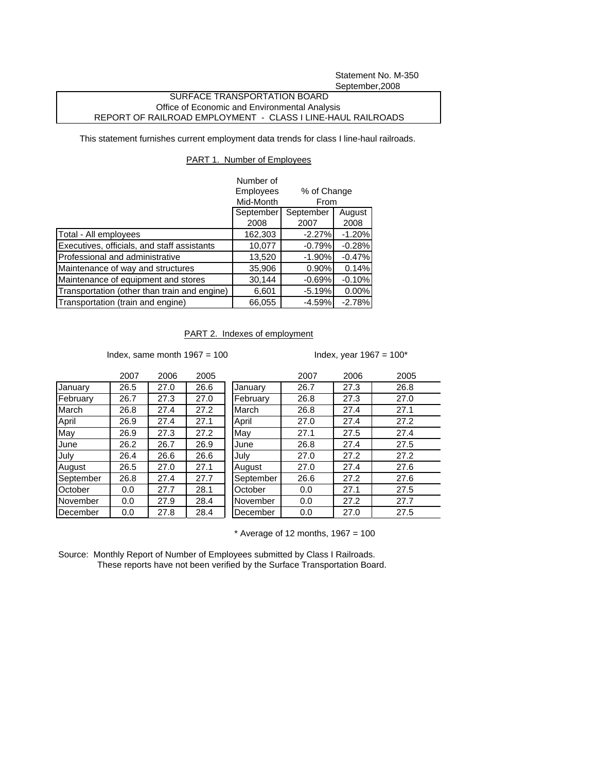Statement No. M-350 September,2008

## SURFACE TRANSPORTATION BOARD Office of Economic and Environmental Analysis REPORT OF RAILROAD EMPLOYMENT - CLASS I LINE-HAUL RAILROADS

This statement furnishes current employment data trends for class I line-haul railroads.

## PART 1. Number of Employees

|                                              | Number of<br>Employees<br>% of Change<br>Mid-Month<br>From |           |          |
|----------------------------------------------|------------------------------------------------------------|-----------|----------|
|                                              | September                                                  | September | August   |
|                                              | 2008                                                       | 2007      | 2008     |
| Total - All employees                        | 162,303                                                    | $-2.27%$  | $-1.20%$ |
| Executives, officials, and staff assistants  | 10,077                                                     | $-0.79%$  | $-0.28%$ |
| Professional and administrative              | 13,520                                                     | $-1.90%$  | $-0.47%$ |
| Maintenance of way and structures            | 35,906                                                     | $0.90\%$  | 0.14%    |
| Maintenance of equipment and stores          | 30,144                                                     | $-0.69%$  | $-0.10%$ |
| Transportation (other than train and engine) | 6,601                                                      | $-5.19%$  | 0.00%    |
| Transportation (train and engine)            | 66,055                                                     | $-4.59%$  | $-2.78%$ |

## PART 2. Indexes of employment

Index, same month  $1967 = 100$  Index, year  $1967 = 100^*$ 

|           | 2007 | 2006 | 2005 |
|-----------|------|------|------|
| January   | 26.5 | 27.0 | 26.6 |
| February  | 26.7 | 27.3 | 27.0 |
| March     | 26.8 | 27.4 | 27.2 |
| April     | 26.9 | 27.4 | 27.1 |
| May       | 26.9 | 27.3 | 27.2 |
| June      | 26.2 | 26.7 | 26.9 |
| July      | 26.4 | 26.6 | 26.6 |
| August    | 26.5 | 27.0 | 27.1 |
| September | 26.8 | 27.4 | 27.7 |
| October   | 0.0  | 27.7 | 28.1 |
| November  | 0.0  | 27.9 | 28.4 |
| December  | 0.0  | 27.8 | 28.4 |

|           | 2007 | 2006 | 2005 |           | 2007 | 2006 | 2005 |
|-----------|------|------|------|-----------|------|------|------|
| January   | 26.5 | 27.0 | 26.6 | January   | 26.7 | 27.3 | 26.8 |
| February  | 26.7 | 27.3 | 27.0 | February  | 26.8 | 27.3 | 27.0 |
| March     | 26.8 | 27.4 | 27.2 | March     | 26.8 | 27.4 | 27.1 |
| April     | 26.9 | 27.4 | 27.1 | April     | 27.0 | 27.4 | 27.2 |
| May       | 26.9 | 27.3 | 27.2 | May       | 27.1 | 27.5 | 27.4 |
| June      | 26.2 | 26.7 | 26.9 | June      | 26.8 | 27.4 | 27.5 |
| July      | 26.4 | 26.6 | 26.6 | July      | 27.0 | 27.2 | 27.2 |
| August    | 26.5 | 27.0 | 27.1 | August    | 27.0 | 27.4 | 27.6 |
| September | 26.8 | 27.4 | 27.7 | September | 26.6 | 27.2 | 27.6 |
| October   | 0.0  | 27.7 | 28.1 | October   | 0.0  | 27.1 | 27.5 |
| November  | 0.0  | 27.9 | 28.4 | November  | 0.0  | 27.2 | 27.7 |
| December  | 0.0  | 27.8 | 28.4 | December  | 0.0  | 27.0 | 27.5 |
|           |      |      |      |           |      |      |      |

 $*$  Average of 12 months, 1967 = 100

Source: Monthly Report of Number of Employees submitted by Class I Railroads. These reports have not been verified by the Surface Transportation Board.